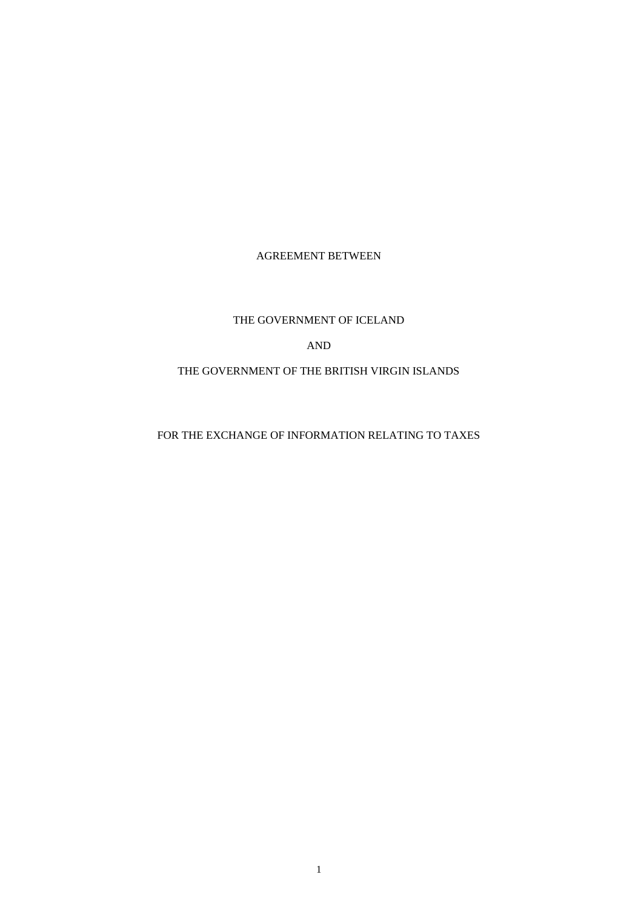# AGREEMENT BETWEEN

# THE GOVERNMENT OF ICELAND

# AND

# THE GOVERNMENT OF THE BRITISH VIRGIN ISLANDS

# FOR THE EXCHANGE OF INFORMATION RELATING TO TAXES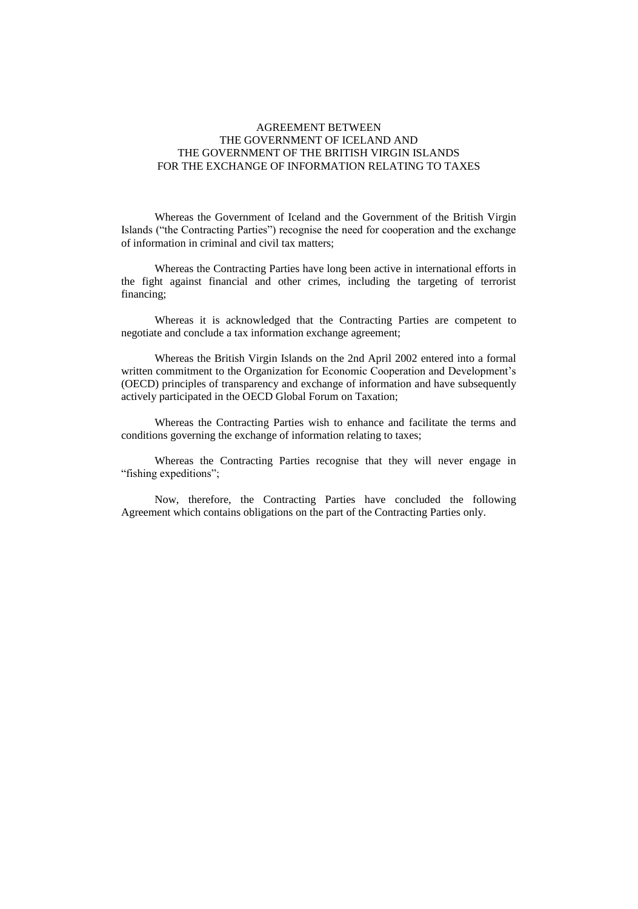# AGREEMENT BETWEEN THE GOVERNMENT OF ICELAND AND THE GOVERNMENT OF THE BRITISH VIRGIN ISLANDS FOR THE EXCHANGE OF INFORMATION RELATING TO TAXES

Whereas the Government of Iceland and the Government of the British Virgin Islands ("the Contracting Parties") recognise the need for cooperation and the exchange of information in criminal and civil tax matters;

Whereas the Contracting Parties have long been active in international efforts in the fight against financial and other crimes, including the targeting of terrorist financing;

Whereas it is acknowledged that the Contracting Parties are competent to negotiate and conclude a tax information exchange agreement;

Whereas the British Virgin Islands on the 2nd April 2002 entered into a formal written commitment to the Organization for Economic Cooperation and Development's (OECD) principles of transparency and exchange of information and have subsequently actively participated in the OECD Global Forum on Taxation;

Whereas the Contracting Parties wish to enhance and facilitate the terms and conditions governing the exchange of information relating to taxes;

Whereas the Contracting Parties recognise that they will never engage in "fishing expeditions";

Now, therefore, the Contracting Parties have concluded the following Agreement which contains obligations on the part of the Contracting Parties only.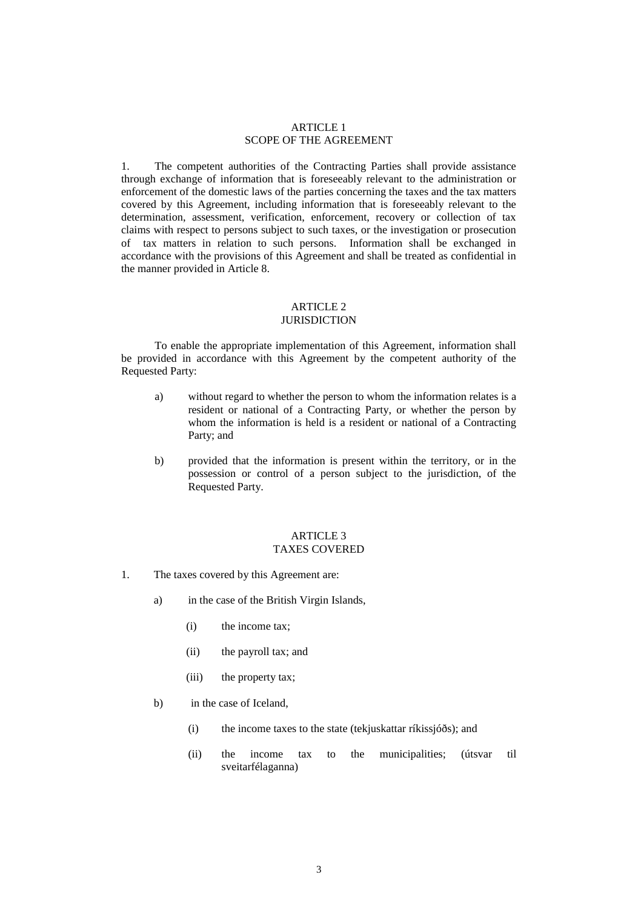## ARTICLE 1 SCOPE OF THE AGREEMENT

1. The competent authorities of the Contracting Parties shall provide assistance through exchange of information that is foreseeably relevant to the administration or enforcement of the domestic laws of the parties concerning the taxes and the tax matters covered by this Agreement, including information that is foreseeably relevant to the determination, assessment, verification, enforcement, recovery or collection of tax claims with respect to persons subject to such taxes, or the investigation or prosecution of tax matters in relation to such persons. Information shall be exchanged in accordance with the provisions of this Agreement and shall be treated as confidential in the manner provided in Article 8.

# ARTICLE 2

# **JURISDICTION**

To enable the appropriate implementation of this Agreement, information shall be provided in accordance with this Agreement by the competent authority of the Requested Party:

- a) without regard to whether the person to whom the information relates is a resident or national of a Contracting Party, or whether the person by whom the information is held is a resident or national of a Contracting Party; and
- b) provided that the information is present within the territory, or in the possession or control of a person subject to the jurisdiction, of the Requested Party.

#### ARTICLE 3 TAXES COVERED

- 1. The taxes covered by this Agreement are:
	- a) in the case of the British Virgin Islands,
		- (i) the income tax;
		- (ii) the payroll tax; and
		- (iii) the property tax;
	- b) in the case of Iceland,
		- (i) the income taxes to the state (tekjuskattar ríkissjóðs); and
		- (ii) the income tax to the municipalities; (útsvar til sveitarfélaganna)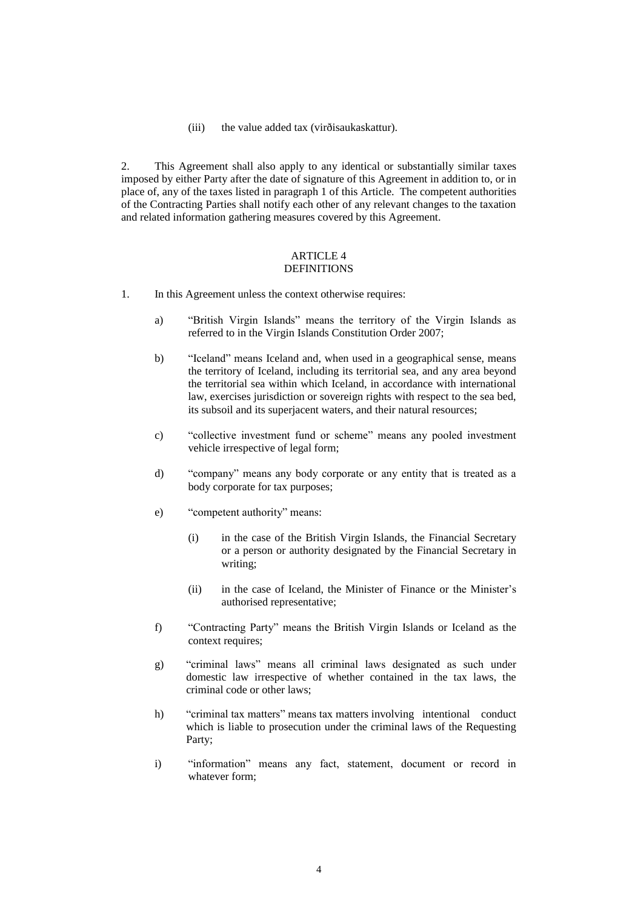(iii) the value added tax (virðisaukaskattur).

2. This Agreement shall also apply to any identical or substantially similar taxes imposed by either Party after the date of signature of this Agreement in addition to, or in place of, any of the taxes listed in paragraph 1 of this Article. The competent authorities of the Contracting Parties shall notify each other of any relevant changes to the taxation and related information gathering measures covered by this Agreement.

#### ARTICLE 4 **DEFINITIONS**

- 1. In this Agreement unless the context otherwise requires:
	- a) "British Virgin Islands" means the territory of the Virgin Islands as referred to in the Virgin Islands Constitution Order 2007;
	- b) "Iceland" means Iceland and, when used in a geographical sense, means the territory of Iceland, including its territorial sea, and any area beyond the territorial sea within which Iceland, in accordance with international law, exercises jurisdiction or sovereign rights with respect to the sea bed, its subsoil and its superjacent waters, and their natural resources;
	- c) "collective investment fund or scheme" means any pooled investment vehicle irrespective of legal form;
	- d) "company" means any body corporate or any entity that is treated as a body corporate for tax purposes;
	- e) "competent authority" means:
		- (i) in the case of the British Virgin Islands, the Financial Secretary or a person or authority designated by the Financial Secretary in writing;
		- (ii) in the case of Iceland, the Minister of Finance or the Minister's authorised representative;
	- f) "Contracting Party" means the British Virgin Islands or Iceland as the context requires;
	- g) "criminal laws" means all criminal laws designated as such under domestic law irrespective of whether contained in the tax laws, the criminal code or other laws;
	- h) "criminal tax matters" means tax matters involving intentional conduct which is liable to prosecution under the criminal laws of the Requesting Party;
	- i) "information" means any fact, statement, document or record in whatever form;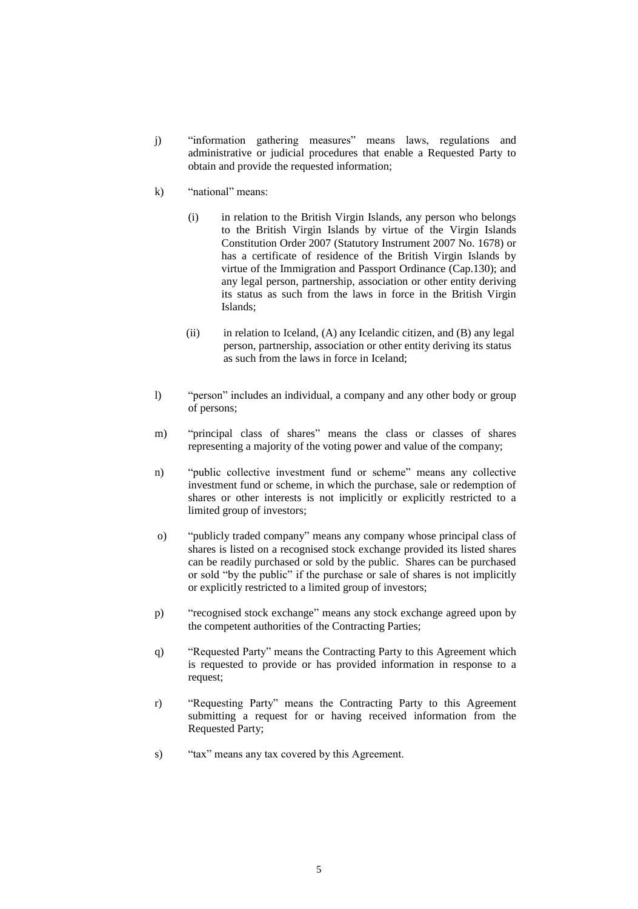- j) "information gathering measures" means laws, regulations and administrative or judicial procedures that enable a Requested Party to obtain and provide the requested information;
- k) "national" means:
	- (i) in relation to the British Virgin Islands, any person who belongs to the British Virgin Islands by virtue of the Virgin Islands Constitution Order 2007 (Statutory Instrument 2007 No. 1678) or has a certificate of residence of the British Virgin Islands by virtue of the Immigration and Passport Ordinance (Cap.130); and any legal person, partnership, association or other entity deriving its status as such from the laws in force in the British Virgin Islands;
	- (ii) in relation to Iceland,  $(A)$  any Icelandic citizen, and  $(B)$  any legal person, partnership, association or other entity deriving its status as such from the laws in force in Iceland;
- l) "person" includes an individual, a company and any other body or group of persons;
- m) "principal class of shares" means the class or classes of shares representing a majority of the voting power and value of the company;
- n) "public collective investment fund or scheme" means any collective investment fund or scheme, in which the purchase, sale or redemption of shares or other interests is not implicitly or explicitly restricted to a limited group of investors;
- o) "publicly traded company" means any company whose principal class of shares is listed on a recognised stock exchange provided its listed shares can be readily purchased or sold by the public. Shares can be purchased or sold "by the public" if the purchase or sale of shares is not implicitly or explicitly restricted to a limited group of investors;
- p) "recognised stock exchange" means any stock exchange agreed upon by the competent authorities of the Contracting Parties;
- q) "Requested Party" means the Contracting Party to this Agreement which is requested to provide or has provided information in response to a request;
- r) "Requesting Party" means the Contracting Party to this Agreement submitting a request for or having received information from the Requested Party;
- s) "tax" means any tax covered by this Agreement.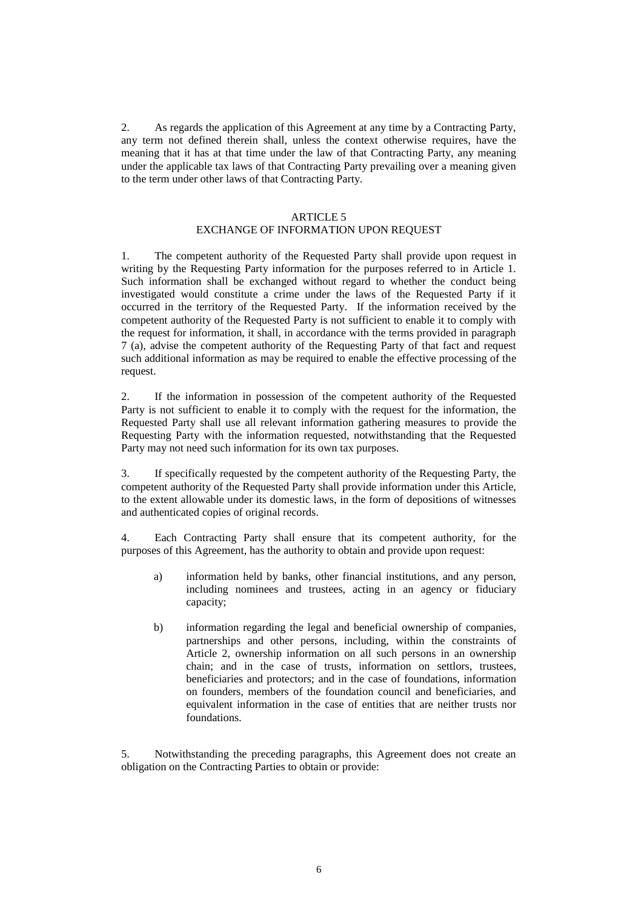2. As regards the application of this Agreement at any time by a Contracting Party, any term not defined therein shall, unless the context otherwise requires, have the meaning that it has at that time under the law of that Contracting Party, any meaning under the applicable tax laws of that Contracting Party prevailing over a meaning given to the term under other laws of that Contracting Party.

#### ARTICLE 5

## EXCHANGE OF INFORMATION UPON REQUEST

1. The competent authority of the Requested Party shall provide upon request in writing by the Requesting Party information for the purposes referred to in Article 1. Such information shall be exchanged without regard to whether the conduct being investigated would constitute a crime under the laws of the Requested Party if it occurred in the territory of the Requested Party. If the information received by the competent authority of the Requested Party is not sufficient to enable it to comply with the request for information, it shall, in accordance with the terms provided in paragraph 7 (a), advise the competent authority of the Requesting Party of that fact and request such additional information as may be required to enable the effective processing of the request.

2. If the information in possession of the competent authority of the Requested Party is not sufficient to enable it to comply with the request for the information, the Requested Party shall use all relevant information gathering measures to provide the Requesting Party with the information requested, notwithstanding that the Requested Party may not need such information for its own tax purposes.

3. If specifically requested by the competent authority of the Requesting Party, the competent authority of the Requested Party shall provide information under this Article, to the extent allowable under its domestic laws, in the form of depositions of witnesses and authenticated copies of original records.

4. Each Contracting Party shall ensure that its competent authority, for the purposes of this Agreement, has the authority to obtain and provide upon request:

- a) information held by banks, other financial institutions, and any person, including nominees and trustees, acting in an agency or fiduciary capacity;
- b) information regarding the legal and beneficial ownership of companies, partnerships and other persons, including, within the constraints of Article 2, ownership information on all such persons in an ownership chain; and in the case of trusts, information on settlors, trustees, beneficiaries and protectors; and in the case of foundations, information on founders, members of the foundation council and beneficiaries, and equivalent information in the case of entities that are neither trusts nor foundations.

5. Notwithstanding the preceding paragraphs, this Agreement does not create an obligation on the Contracting Parties to obtain or provide: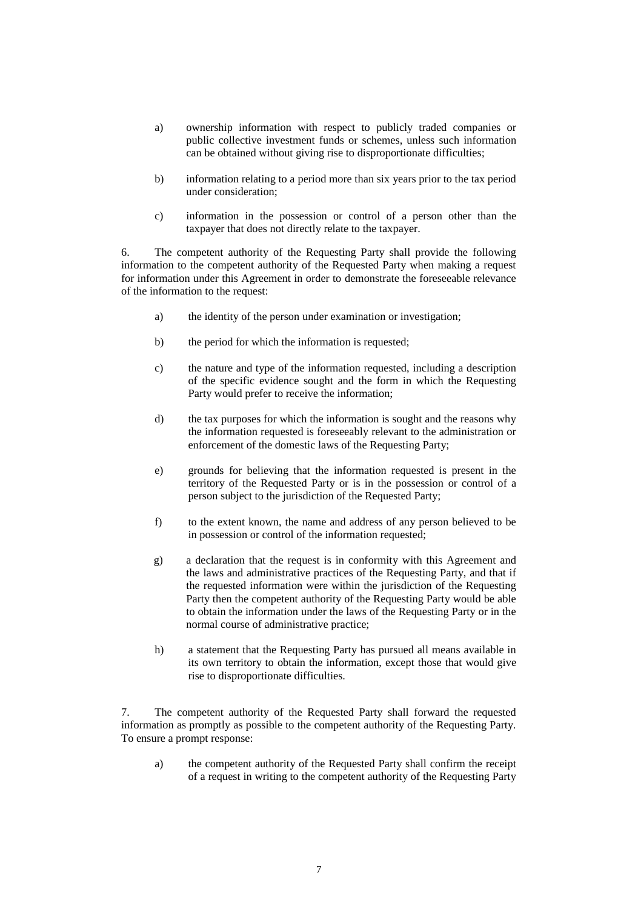- a) ownership information with respect to publicly traded companies or public collective investment funds or schemes, unless such information can be obtained without giving rise to disproportionate difficulties;
- b) information relating to a period more than six years prior to the tax period under consideration;
- c) information in the possession or control of a person other than the taxpayer that does not directly relate to the taxpayer.

6. The competent authority of the Requesting Party shall provide the following information to the competent authority of the Requested Party when making a request for information under this Agreement in order to demonstrate the foreseeable relevance of the information to the request:

- a) the identity of the person under examination or investigation;
- b) the period for which the information is requested;
- c) the nature and type of the information requested, including a description of the specific evidence sought and the form in which the Requesting Party would prefer to receive the information;
- d) the tax purposes for which the information is sought and the reasons why the information requested is foreseeably relevant to the administration or enforcement of the domestic laws of the Requesting Party;
- e) grounds for believing that the information requested is present in the territory of the Requested Party or is in the possession or control of a person subject to the jurisdiction of the Requested Party;
- f) to the extent known, the name and address of any person believed to be in possession or control of the information requested;
- g) a declaration that the request is in conformity with this Agreement and the laws and administrative practices of the Requesting Party, and that if the requested information were within the jurisdiction of the Requesting Party then the competent authority of the Requesting Party would be able to obtain the information under the laws of the Requesting Party or in the normal course of administrative practice;
- h) a statement that the Requesting Party has pursued all means available in its own territory to obtain the information, except those that would give rise to disproportionate difficulties.

7. The competent authority of the Requested Party shall forward the requested information as promptly as possible to the competent authority of the Requesting Party. To ensure a prompt response:

a) the competent authority of the Requested Party shall confirm the receipt of a request in writing to the competent authority of the Requesting Party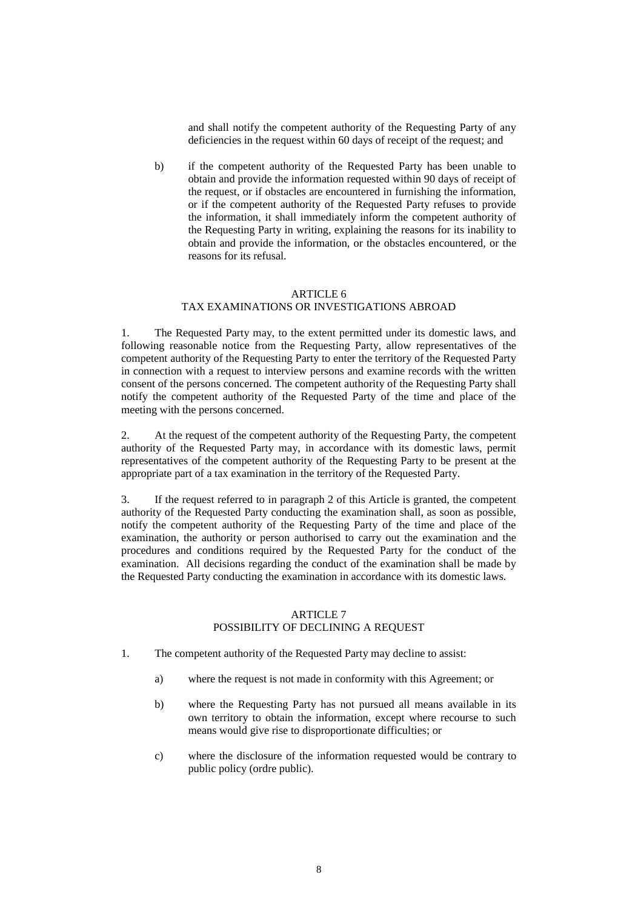and shall notify the competent authority of the Requesting Party of any deficiencies in the request within 60 days of receipt of the request; and

b) if the competent authority of the Requested Party has been unable to obtain and provide the information requested within 90 days of receipt of the request, or if obstacles are encountered in furnishing the information, or if the competent authority of the Requested Party refuses to provide the information, it shall immediately inform the competent authority of the Requesting Party in writing, explaining the reasons for its inability to obtain and provide the information, or the obstacles encountered, or the reasons for its refusal.

# ARTICLE 6 TAX EXAMINATIONS OR INVESTIGATIONS ABROAD

1. The Requested Party may, to the extent permitted under its domestic laws, and following reasonable notice from the Requesting Party, allow representatives of the competent authority of the Requesting Party to enter the territory of the Requested Party in connection with a request to interview persons and examine records with the written consent of the persons concerned. The competent authority of the Requesting Party shall notify the competent authority of the Requested Party of the time and place of the meeting with the persons concerned.

2. At the request of the competent authority of the Requesting Party, the competent authority of the Requested Party may, in accordance with its domestic laws, permit representatives of the competent authority of the Requesting Party to be present at the appropriate part of a tax examination in the territory of the Requested Party.

3. If the request referred to in paragraph 2 of this Article is granted, the competent authority of the Requested Party conducting the examination shall, as soon as possible, notify the competent authority of the Requesting Party of the time and place of the examination, the authority or person authorised to carry out the examination and the procedures and conditions required by the Requested Party for the conduct of the examination. All decisions regarding the conduct of the examination shall be made by the Requested Party conducting the examination in accordance with its domestic laws.

#### ARTICLE 7 POSSIBILITY OF DECLINING A REQUEST

- 1. The competent authority of the Requested Party may decline to assist:
	- a) where the request is not made in conformity with this Agreement; or
	- b) where the Requesting Party has not pursued all means available in its own territory to obtain the information, except where recourse to such means would give rise to disproportionate difficulties; or
	- c) where the disclosure of the information requested would be contrary to public policy (ordre public).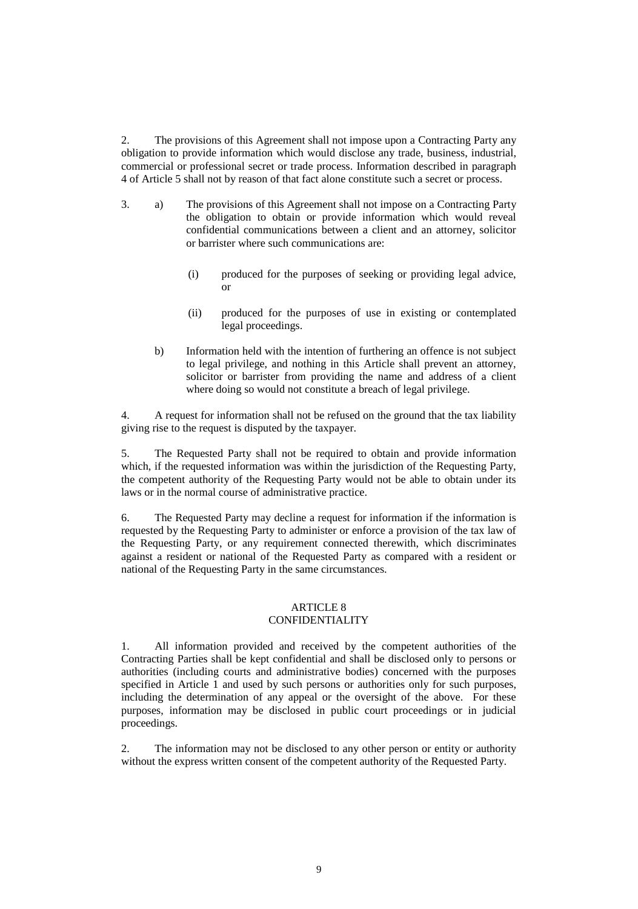2. The provisions of this Agreement shall not impose upon a Contracting Party any obligation to provide information which would disclose any trade, business, industrial, commercial or professional secret or trade process. Information described in paragraph 4 of Article 5 shall not by reason of that fact alone constitute such a secret or process.

- 3. a) The provisions of this Agreement shall not impose on a Contracting Party the obligation to obtain or provide information which would reveal confidential communications between a client and an attorney, solicitor or barrister where such communications are:
	- (i) produced for the purposes of seeking or providing legal advice, or
	- (ii) produced for the purposes of use in existing or contemplated legal proceedings.
	- b) Information held with the intention of furthering an offence is not subject to legal privilege, and nothing in this Article shall prevent an attorney, solicitor or barrister from providing the name and address of a client where doing so would not constitute a breach of legal privilege.

4. A request for information shall not be refused on the ground that the tax liability giving rise to the request is disputed by the taxpayer.

5. The Requested Party shall not be required to obtain and provide information which, if the requested information was within the jurisdiction of the Requesting Party, the competent authority of the Requesting Party would not be able to obtain under its laws or in the normal course of administrative practice.

6. The Requested Party may decline a request for information if the information is requested by the Requesting Party to administer or enforce a provision of the tax law of the Requesting Party, or any requirement connected therewith, which discriminates against a resident or national of the Requested Party as compared with a resident or national of the Requesting Party in the same circumstances.

## ARTICLE 8 CONFIDENTIALITY

1. All information provided and received by the competent authorities of the Contracting Parties shall be kept confidential and shall be disclosed only to persons or authorities (including courts and administrative bodies) concerned with the purposes specified in Article 1 and used by such persons or authorities only for such purposes, including the determination of any appeal or the oversight of the above. For these purposes, information may be disclosed in public court proceedings or in judicial proceedings.

2. The information may not be disclosed to any other person or entity or authority without the express written consent of the competent authority of the Requested Party.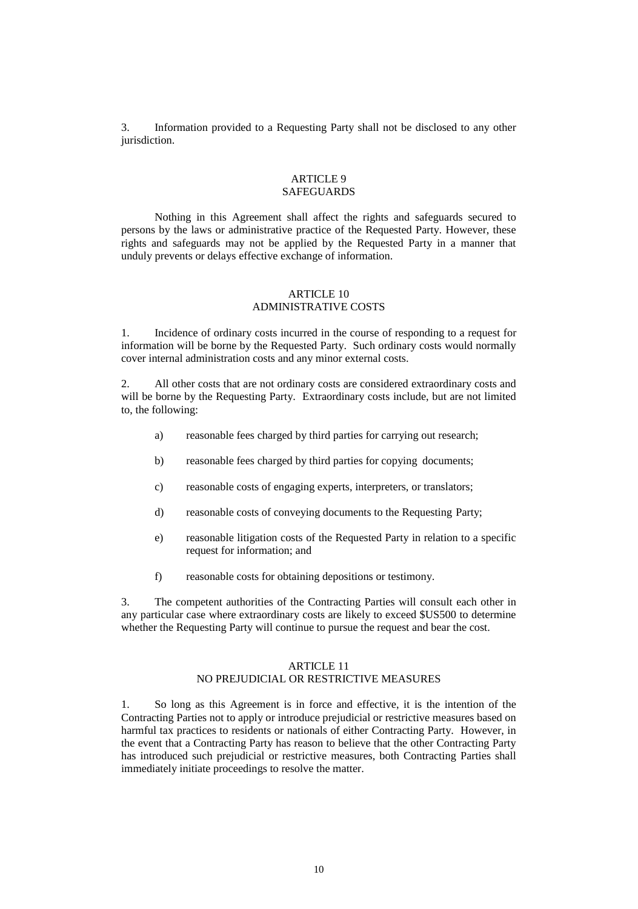3. Information provided to a Requesting Party shall not be disclosed to any other jurisdiction.

#### ARTICLE 9 **SAFEGUARDS**

Nothing in this Agreement shall affect the rights and safeguards secured to persons by the laws or administrative practice of the Requested Party. However, these rights and safeguards may not be applied by the Requested Party in a manner that unduly prevents or delays effective exchange of information.

## ARTICLE 10 ADMINISTRATIVE COSTS

1. Incidence of ordinary costs incurred in the course of responding to a request for information will be borne by the Requested Party. Such ordinary costs would normally cover internal administration costs and any minor external costs.

2. All other costs that are not ordinary costs are considered extraordinary costs and will be borne by the Requesting Party. Extraordinary costs include, but are not limited to, the following:

- a) reasonable fees charged by third parties for carrying out research;
- b) reasonable fees charged by third parties for copying documents;
- c) reasonable costs of engaging experts, interpreters, or translators;
- d) reasonable costs of conveying documents to the Requesting Party;
- e) reasonable litigation costs of the Requested Party in relation to a specific request for information; and
- f) reasonable costs for obtaining depositions or testimony.

3. The competent authorities of the Contracting Parties will consult each other in any particular case where extraordinary costs are likely to exceed \$US500 to determine whether the Requesting Party will continue to pursue the request and bear the cost.

# ARTICLE 11 NO PREJUDICIAL OR RESTRICTIVE MEASURES

1. So long as this Agreement is in force and effective, it is the intention of the Contracting Parties not to apply or introduce prejudicial or restrictive measures based on harmful tax practices to residents or nationals of either Contracting Party. However, in the event that a Contracting Party has reason to believe that the other Contracting Party has introduced such prejudicial or restrictive measures, both Contracting Parties shall immediately initiate proceedings to resolve the matter.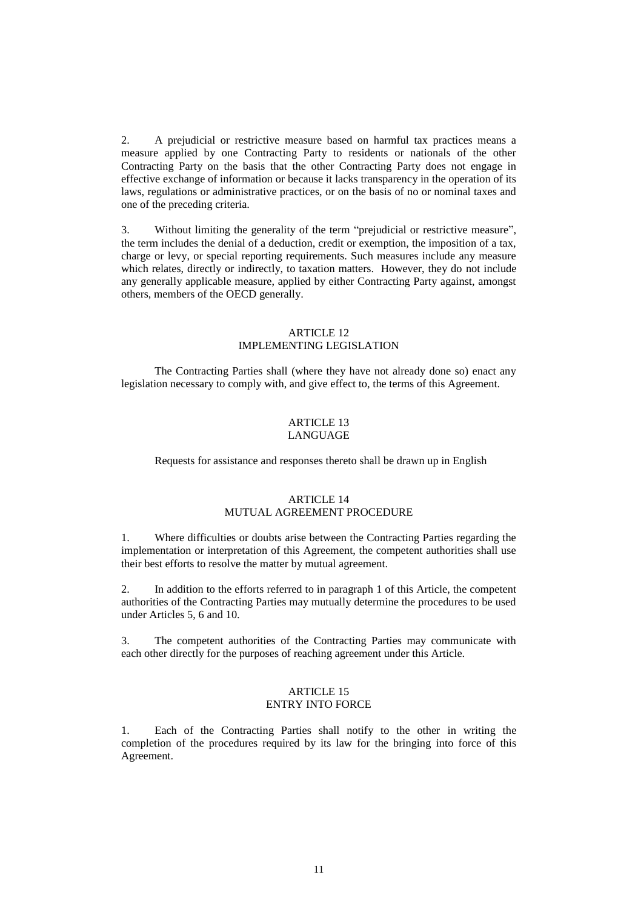2. A prejudicial or restrictive measure based on harmful tax practices means a measure applied by one Contracting Party to residents or nationals of the other Contracting Party on the basis that the other Contracting Party does not engage in effective exchange of information or because it lacks transparency in the operation of its laws, regulations or administrative practices, or on the basis of no or nominal taxes and one of the preceding criteria.

3. Without limiting the generality of the term "prejudicial or restrictive measure", the term includes the denial of a deduction, credit or exemption, the imposition of a tax, charge or levy, or special reporting requirements. Such measures include any measure which relates, directly or indirectly, to taxation matters. However, they do not include any generally applicable measure, applied by either Contracting Party against, amongst others, members of the OECD generally.

## ARTICLE 12 IMPLEMENTING LEGISLATION

The Contracting Parties shall (where they have not already done so) enact any legislation necessary to comply with, and give effect to, the terms of this Agreement.

#### ARTICLE 13 LANGUAGE

Requests for assistance and responses thereto shall be drawn up in English

#### ARTICLE 14 MUTUAL AGREEMENT PROCEDURE

1. Where difficulties or doubts arise between the Contracting Parties regarding the implementation or interpretation of this Agreement, the competent authorities shall use their best efforts to resolve the matter by mutual agreement.

2. In addition to the efforts referred to in paragraph 1 of this Article, the competent authorities of the Contracting Parties may mutually determine the procedures to be used under Articles 5, 6 and 10.

3. The competent authorities of the Contracting Parties may communicate with each other directly for the purposes of reaching agreement under this Article.

## ARTICLE 15 ENTRY INTO FORCE

1. Each of the Contracting Parties shall notify to the other in writing the completion of the procedures required by its law for the bringing into force of this Agreement.